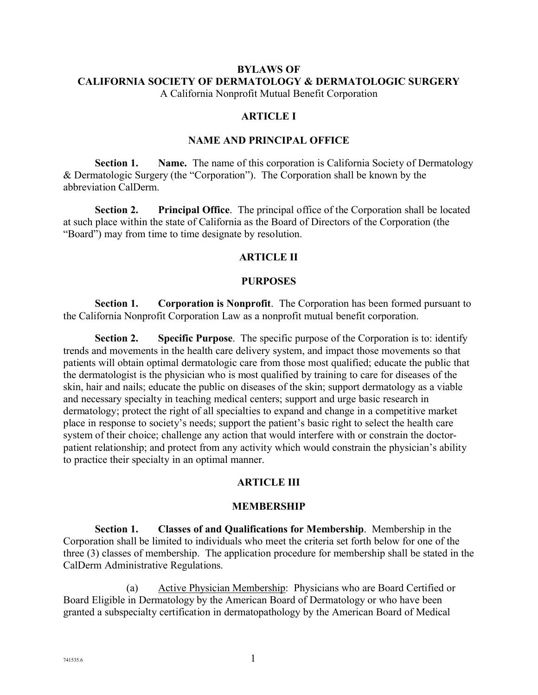## **BYLAWS OF CALIFORNIA SOCIETY OF DERMATOLOGY & DERMATOLOGIC SURGERY**

A California Nonprofit Mutual Benefit Corporation

## **ARTICLE I**

#### **NAME AND PRINCIPAL OFFICE**

**Section 1. Name.** The name of this corporation is California Society of Dermatology & Dermatologic Surgery (the "Corporation"). The Corporation shall be known by the abbreviation CalDerm.

**Section 2. Principal Office**. The principal office of the Corporation shall be located at such place within the state of California as the Board of Directors of the Corporation (the "Board") may from time to time designate by resolution.

#### **ARTICLE II**

#### **PURPOSES**

**Section 1. Corporation is Nonprofit**. The Corporation has been formed pursuant to the California Nonprofit Corporation Law as a nonprofit mutual benefit corporation.

**Section 2. Specific Purpose**. The specific purpose of the Corporation is to: identify trends and movements in the health care delivery system, and impact those movements so that patients will obtain optimal dermatologic care from those most qualified; educate the public that the dermatologist is the physician who is most qualified by training to care for diseases of the skin, hair and nails; educate the public on diseases of the skin; support dermatology as a viable and necessary specialty in teaching medical centers; support and urge basic research in dermatology; protect the right of all specialties to expand and change in a competitive market place in response to society's needs; support the patient's basic right to select the health care system of their choice; challenge any action that would interfere with or constrain the doctorpatient relationship; and protect from any activity which would constrain the physician's ability to practice their specialty in an optimal manner.

## **ARTICLE III**

#### **MEMBERSHIP**

**Section 1. Classes of and Qualifications for Membership**. Membership in the Corporation shall be limited to individuals who meet the criteria set forth below for one of the three (3) classes of membership. The application procedure for membership shall be stated in the CalDerm Administrative Regulations.

(a) Active Physician Membership: Physicians who are Board Certified or Board Eligible in Dermatology by the American Board of Dermatology or who have been granted a subspecialty certification in dermatopathology by the American Board of Medical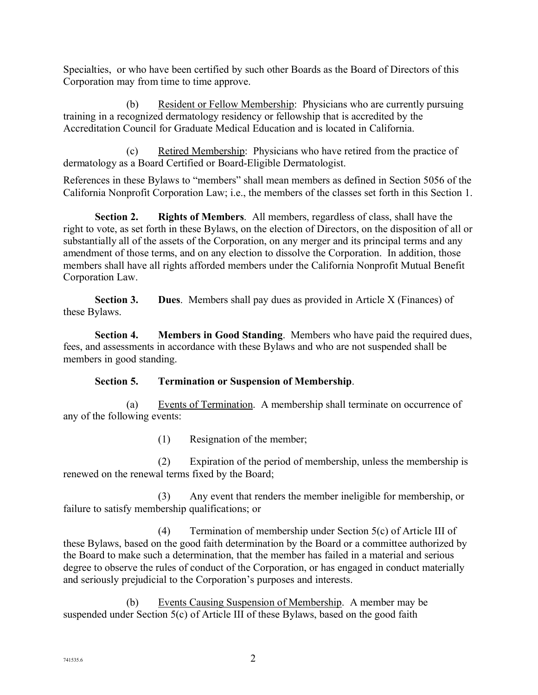Specialties, or who have been certified by such other Boards as the Board of Directors of this Corporation may from time to time approve.

(b) Resident or Fellow Membership: Physicians who are currently pursuing training in a recognized dermatology residency or fellowship that is accredited by the Accreditation Council for Graduate Medical Education and is located in California.

(c) Retired Membership: Physicians who have retired from the practice of dermatology as a Board Certified or Board-Eligible Dermatologist.

References in these Bylaws to "members" shall mean members as defined in Section 5056 of the California Nonprofit Corporation Law; i.e., the members of the classes set forth in this Section 1.

**Section 2. Rights of Members**. All members, regardless of class, shall have the right to vote, as set forth in these Bylaws, on the election of Directors, on the disposition of all or substantially all of the assets of the Corporation, on any merger and its principal terms and any amendment of those terms, and on any election to dissolve the Corporation. In addition, those members shall have all rights afforded members under the California Nonprofit Mutual Benefit Corporation Law.

**Section 3. Dues**. Members shall pay dues as provided in Article X (Finances) of these Bylaws.

**Section 4. Members in Good Standing**. Members who have paid the required dues, fees, and assessments in accordance with these Bylaws and who are not suspended shall be members in good standing.

## **Section 5. Termination or Suspension of Membership**.

(a) Events of Termination. A membership shall terminate on occurrence of any of the following events:

(1) Resignation of the member;

(2) Expiration of the period of membership, unless the membership is renewed on the renewal terms fixed by the Board;

(3) Any event that renders the member ineligible for membership, or failure to satisfy membership qualifications; or

(4) Termination of membership under Section 5(c) of Article III of these Bylaws, based on the good faith determination by the Board or a committee authorized by the Board to make such a determination, that the member has failed in a material and serious degree to observe the rules of conduct of the Corporation, or has engaged in conduct materially and seriously prejudicial to the Corporation's purposes and interests.

(b) Events Causing Suspension of Membership. A member may be suspended under Section 5(c) of Article III of these Bylaws, based on the good faith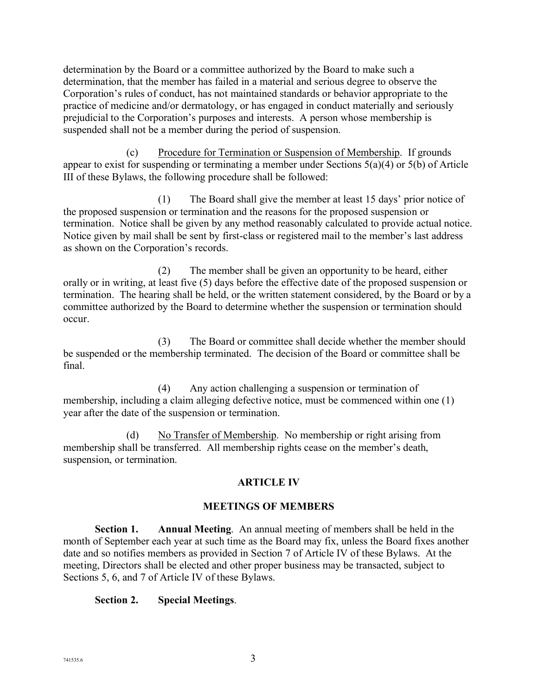determination by the Board or a committee authorized by the Board to make such a determination, that the member has failed in a material and serious degree to observe the Corporation's rules of conduct, has not maintained standards or behavior appropriate to the practice of medicine and/or dermatology, or has engaged in conduct materially and seriously prejudicial to the Corporation's purposes and interests. A person whose membership is suspended shall not be a member during the period of suspension.

(c) Procedure for Termination or Suspension of Membership. If grounds appear to exist for suspending or terminating a member under Sections 5(a)(4) or 5(b) of Article III of these Bylaws, the following procedure shall be followed:

(1) The Board shall give the member at least 15 days' prior notice of the proposed suspension or termination and the reasons for the proposed suspension or termination. Notice shall be given by any method reasonably calculated to provide actual notice. Notice given by mail shall be sent by first-class or registered mail to the member's last address as shown on the Corporation's records.

(2) The member shall be given an opportunity to be heard, either orally or in writing, at least five (5) days before the effective date of the proposed suspension or termination. The hearing shall be held, or the written statement considered, by the Board or by a committee authorized by the Board to determine whether the suspension or termination should occur.

(3) The Board or committee shall decide whether the member should be suspended or the membership terminated. The decision of the Board or committee shall be final.

(4) Any action challenging a suspension or termination of membership, including a claim alleging defective notice, must be commenced within one (1) year after the date of the suspension or termination.

(d) No Transfer of Membership. No membership or right arising from membership shall be transferred. All membership rights cease on the member's death, suspension, or termination.

## **ARTICLE IV**

## **MEETINGS OF MEMBERS**

**Section 1. Annual Meeting**. An annual meeting of members shall be held in the month of September each year at such time as the Board may fix, unless the Board fixes another date and so notifies members as provided in Section 7 of Article IV of these Bylaws. At the meeting, Directors shall be elected and other proper business may be transacted, subject to Sections 5, 6, and 7 of Article IV of these Bylaws.

## **Section 2. Special Meetings**.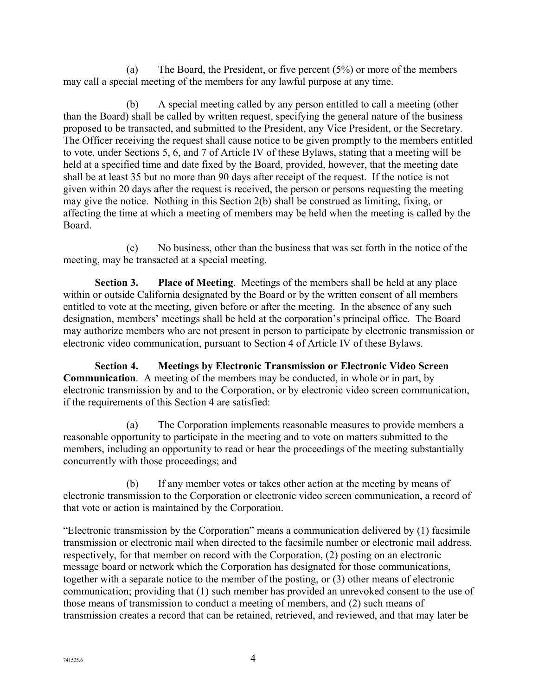(a) The Board, the President, or five percent (5%) or more of the members may call a special meeting of the members for any lawful purpose at any time.

(b) A special meeting called by any person entitled to call a meeting (other than the Board) shall be called by written request, specifying the general nature of the business proposed to be transacted, and submitted to the President, any Vice President, or the Secretary. The Officer receiving the request shall cause notice to be given promptly to the members entitled to vote, under Sections 5, 6, and 7 of Article IV of these Bylaws, stating that a meeting will be held at a specified time and date fixed by the Board, provided, however, that the meeting date shall be at least 35 but no more than 90 days after receipt of the request. If the notice is not given within 20 days after the request is received, the person or persons requesting the meeting may give the notice. Nothing in this Section 2(b) shall be construed as limiting, fixing, or affecting the time at which a meeting of members may be held when the meeting is called by the Board.

(c) No business, other than the business that was set forth in the notice of the meeting, may be transacted at a special meeting.

**Section 3. Place of Meeting**. Meetings of the members shall be held at any place within or outside California designated by the Board or by the written consent of all members entitled to vote at the meeting, given before or after the meeting. In the absence of any such designation, members' meetings shall be held at the corporation's principal office. The Board may authorize members who are not present in person to participate by electronic transmission or electronic video communication, pursuant to Section 4 of Article IV of these Bylaws.

**Section 4. Meetings by Electronic Transmission or Electronic Video Screen Communication**. A meeting of the members may be conducted, in whole or in part, by electronic transmission by and to the Corporation, or by electronic video screen communication, if the requirements of this Section 4 are satisfied:

(a) The Corporation implements reasonable measures to provide members a reasonable opportunity to participate in the meeting and to vote on matters submitted to the members, including an opportunity to read or hear the proceedings of the meeting substantially concurrently with those proceedings; and

(b) If any member votes or takes other action at the meeting by means of electronic transmission to the Corporation or electronic video screen communication, a record of that vote or action is maintained by the Corporation.

"Electronic transmission by the Corporation" means a communication delivered by (1) facsimile transmission or electronic mail when directed to the facsimile number or electronic mail address, respectively, for that member on record with the Corporation, (2) posting on an electronic message board or network which the Corporation has designated for those communications, together with a separate notice to the member of the posting, or (3) other means of electronic communication; providing that (1) such member has provided an unrevoked consent to the use of those means of transmission to conduct a meeting of members, and (2) such means of transmission creates a record that can be retained, retrieved, and reviewed, and that may later be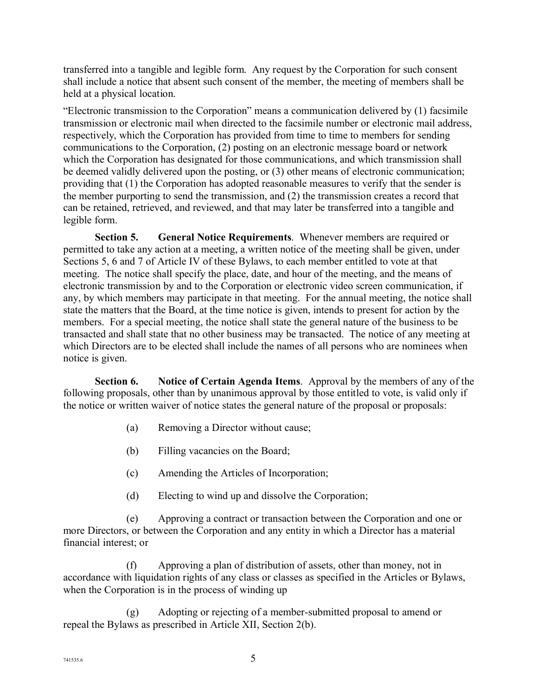transferred into a tangible and legible form. Any request by the Corporation for such consent shall include a notice that absent such consent of the member, the meeting of members shall be held at a physical location.

"Electronic transmission to the Corporation" means a communication delivered by (1) facsimile transmission or electronic mail when directed to the facsimile number or electronic mail address, respectively, which the Corporation has provided from time to time to members for sending communications to the Corporation, (2) posting on an electronic message board or network which the Corporation has designated for those communications, and which transmission shall be deemed validly delivered upon the posting, or (3) other means of electronic communication; providing that (1) the Corporation has adopted reasonable measures to verify that the sender is the member purporting to send the transmission, and (2) the transmission creates a record that can be retained, retrieved, and reviewed, and that may later be transferred into a tangible and legible form.

**Section 5. General Notice Requirements**. Whenever members are required or permitted to take any action at a meeting, a written notice of the meeting shall be given, under Sections 5, 6 and 7 of Article IV of these Bylaws, to each member entitled to vote at that meeting. The notice shall specify the place, date, and hour of the meeting, and the means of electronic transmission by and to the Corporation or electronic video screen communication, if any, by which members may participate in that meeting. For the annual meeting, the notice shall state the matters that the Board, at the time notice is given, intends to present for action by the members. For a special meeting, the notice shall state the general nature of the business to be transacted and shall state that no other business may be transacted. The notice of any meeting at which Directors are to be elected shall include the names of all persons who are nominees when notice is given.

**Section 6. Notice of Certain Agenda Items**. Approval by the members of any of the following proposals, other than by unanimous approval by those entitled to vote, is valid only if the notice or written waiver of notice states the general nature of the proposal or proposals:

- (a) Removing a Director without cause;
- (b) Filling vacancies on the Board;
- (c) Amending the Articles of Incorporation;
- (d) Electing to wind up and dissolve the Corporation;

(e) Approving a contract or transaction between the Corporation and one or more Directors, or between the Corporation and any entity in which a Director has a material financial interest; or

(f) Approving a plan of distribution of assets, other than money, not in accordance with liquidation rights of any class or classes as specified in the Articles or Bylaws, when the Corporation is in the process of winding up

(g) Adopting or rejecting of a member-submitted proposal to amend or repeal the Bylaws as prescribed in Article XII, Section 2(b).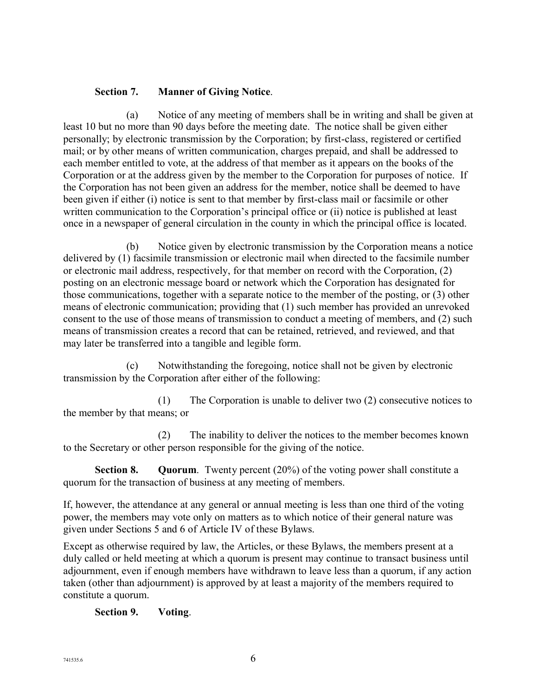## **Section 7. Manner of Giving Notice**.

(a) Notice of any meeting of members shall be in writing and shall be given at least 10 but no more than 90 days before the meeting date. The notice shall be given either personally; by electronic transmission by the Corporation; by first-class, registered or certified mail; or by other means of written communication, charges prepaid, and shall be addressed to each member entitled to vote, at the address of that member as it appears on the books of the Corporation or at the address given by the member to the Corporation for purposes of notice. If the Corporation has not been given an address for the member, notice shall be deemed to have been given if either (i) notice is sent to that member by first-class mail or facsimile or other written communication to the Corporation's principal office or (ii) notice is published at least once in a newspaper of general circulation in the county in which the principal office is located.

(b) Notice given by electronic transmission by the Corporation means a notice delivered by (1) facsimile transmission or electronic mail when directed to the facsimile number or electronic mail address, respectively, for that member on record with the Corporation, (2) posting on an electronic message board or network which the Corporation has designated for those communications, together with a separate notice to the member of the posting, or (3) other means of electronic communication; providing that (1) such member has provided an unrevoked consent to the use of those means of transmission to conduct a meeting of members, and (2) such means of transmission creates a record that can be retained, retrieved, and reviewed, and that may later be transferred into a tangible and legible form.

(c) Notwithstanding the foregoing, notice shall not be given by electronic transmission by the Corporation after either of the following:

(1) The Corporation is unable to deliver two (2) consecutive notices to the member by that means; or

(2) The inability to deliver the notices to the member becomes known to the Secretary or other person responsible for the giving of the notice.

**Section 8. Quorum**. Twenty percent (20%) of the voting power shall constitute a quorum for the transaction of business at any meeting of members.

If, however, the attendance at any general or annual meeting is less than one third of the voting power, the members may vote only on matters as to which notice of their general nature was given under Sections 5 and 6 of Article IV of these Bylaws.

Except as otherwise required by law, the Articles, or these Bylaws, the members present at a duly called or held meeting at which a quorum is present may continue to transact business until adjournment, even if enough members have withdrawn to leave less than a quorum, if any action taken (other than adjournment) is approved by at least a majority of the members required to constitute a quorum.

## **Section 9. Voting**.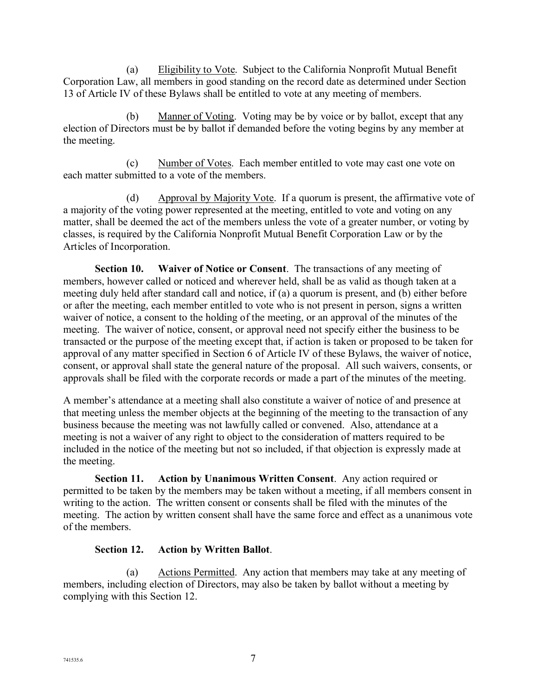(a) Eligibility to Vote. Subject to the California Nonprofit Mutual Benefit Corporation Law, all members in good standing on the record date as determined under Section 13 of Article IV of these Bylaws shall be entitled to vote at any meeting of members.

(b) Manner of Voting. Voting may be by voice or by ballot, except that any election of Directors must be by ballot if demanded before the voting begins by any member at the meeting.

(c) Number of Votes. Each member entitled to vote may cast one vote on each matter submitted to a vote of the members.

(d) Approval by Majority Vote. If a quorum is present, the affirmative vote of a majority of the voting power represented at the meeting, entitled to vote and voting on any matter, shall be deemed the act of the members unless the vote of a greater number, or voting by classes, is required by the California Nonprofit Mutual Benefit Corporation Law or by the Articles of Incorporation.

**Section 10. Waiver of Notice or Consent**. The transactions of any meeting of members, however called or noticed and wherever held, shall be as valid as though taken at a meeting duly held after standard call and notice, if (a) a quorum is present, and (b) either before or after the meeting, each member entitled to vote who is not present in person, signs a written waiver of notice, a consent to the holding of the meeting, or an approval of the minutes of the meeting. The waiver of notice, consent, or approval need not specify either the business to be transacted or the purpose of the meeting except that, if action is taken or proposed to be taken for approval of any matter specified in Section 6 of Article IV of these Bylaws, the waiver of notice, consent, or approval shall state the general nature of the proposal. All such waivers, consents, or approvals shall be filed with the corporate records or made a part of the minutes of the meeting.

A member's attendance at a meeting shall also constitute a waiver of notice of and presence at that meeting unless the member objects at the beginning of the meeting to the transaction of any business because the meeting was not lawfully called or convened. Also, attendance at a meeting is not a waiver of any right to object to the consideration of matters required to be included in the notice of the meeting but not so included, if that objection is expressly made at the meeting.

**Section 11. Action by Unanimous Written Consent**. Any action required or permitted to be taken by the members may be taken without a meeting, if all members consent in writing to the action. The written consent or consents shall be filed with the minutes of the meeting. The action by written consent shall have the same force and effect as a unanimous vote of the members.

## **Section 12. Action by Written Ballot**.

(a) Actions Permitted. Any action that members may take at any meeting of members, including election of Directors, may also be taken by ballot without a meeting by complying with this Section 12.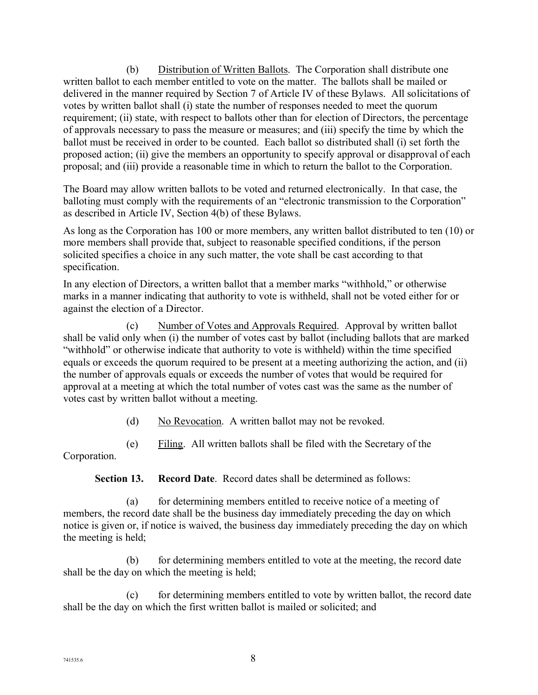(b) Distribution of Written Ballots. The Corporation shall distribute one written ballot to each member entitled to vote on the matter. The ballots shall be mailed or delivered in the manner required by Section 7 of Article IV of these Bylaws. All solicitations of votes by written ballot shall (i) state the number of responses needed to meet the quorum requirement; (ii) state, with respect to ballots other than for election of Directors, the percentage of approvals necessary to pass the measure or measures; and (iii) specify the time by which the ballot must be received in order to be counted. Each ballot so distributed shall (i) set forth the proposed action; (ii) give the members an opportunity to specify approval or disapproval of each proposal; and (iii) provide a reasonable time in which to return the ballot to the Corporation.

The Board may allow written ballots to be voted and returned electronically. In that case, the balloting must comply with the requirements of an "electronic transmission to the Corporation" as described in Article IV, Section 4(b) of these Bylaws.

As long as the Corporation has 100 or more members, any written ballot distributed to ten (10) or more members shall provide that, subject to reasonable specified conditions, if the person solicited specifies a choice in any such matter, the vote shall be cast according to that specification.

In any election of Directors, a written ballot that a member marks "withhold," or otherwise marks in a manner indicating that authority to vote is withheld, shall not be voted either for or against the election of a Director.

(c) Number of Votes and Approvals Required. Approval by written ballot shall be valid only when (i) the number of votes cast by ballot (including ballots that are marked "withhold" or otherwise indicate that authority to vote is withheld) within the time specified equals or exceeds the quorum required to be present at a meeting authorizing the action, and (ii) the number of approvals equals or exceeds the number of votes that would be required for approval at a meeting at which the total number of votes cast was the same as the number of votes cast by written ballot without a meeting.

(d) No Revocation. A written ballot may not be revoked.

(e) Filing. All written ballots shall be filed with the Secretary of the

Corporation.

**Section 13. Record Date**. Record dates shall be determined as follows:

(a) for determining members entitled to receive notice of a meeting of members, the record date shall be the business day immediately preceding the day on which notice is given or, if notice is waived, the business day immediately preceding the day on which the meeting is held;

(b) for determining members entitled to vote at the meeting, the record date shall be the day on which the meeting is held;

(c) for determining members entitled to vote by written ballot, the record date shall be the day on which the first written ballot is mailed or solicited; and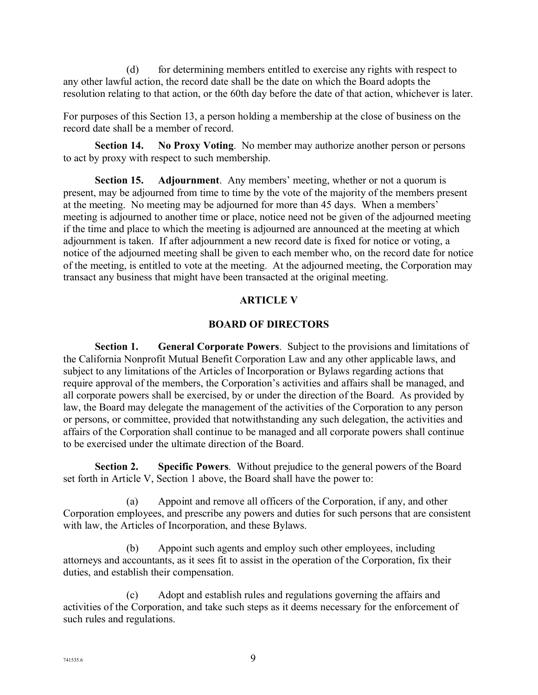(d) for determining members entitled to exercise any rights with respect to any other lawful action, the record date shall be the date on which the Board adopts the resolution relating to that action, or the 60th day before the date of that action, whichever is later.

For purposes of this Section 13, a person holding a membership at the close of business on the record date shall be a member of record.

**Section 14. No Proxy Voting**. No member may authorize another person or persons to act by proxy with respect to such membership.

**Section 15. Adjournment**. Any members' meeting, whether or not a quorum is present, may be adjourned from time to time by the vote of the majority of the members present at the meeting. No meeting may be adjourned for more than 45 days. When a members' meeting is adjourned to another time or place, notice need not be given of the adjourned meeting if the time and place to which the meeting is adjourned are announced at the meeting at which adjournment is taken. If after adjournment a new record date is fixed for notice or voting, a notice of the adjourned meeting shall be given to each member who, on the record date for notice of the meeting, is entitled to vote at the meeting. At the adjourned meeting, the Corporation may transact any business that might have been transacted at the original meeting.

## **ARTICLE V**

#### **BOARD OF DIRECTORS**

**Section 1. General Corporate Powers**. Subject to the provisions and limitations of the California Nonprofit Mutual Benefit Corporation Law and any other applicable laws, and subject to any limitations of the Articles of Incorporation or Bylaws regarding actions that require approval of the members, the Corporation's activities and affairs shall be managed, and all corporate powers shall be exercised, by or under the direction of the Board. As provided by law, the Board may delegate the management of the activities of the Corporation to any person or persons, or committee, provided that notwithstanding any such delegation, the activities and affairs of the Corporation shall continue to be managed and all corporate powers shall continue to be exercised under the ultimate direction of the Board.

**Section 2. Specific Powers**. Without prejudice to the general powers of the Board set forth in Article V, Section 1 above, the Board shall have the power to:

(a) Appoint and remove all officers of the Corporation, if any, and other Corporation employees, and prescribe any powers and duties for such persons that are consistent with law, the Articles of Incorporation, and these Bylaws.

(b) Appoint such agents and employ such other employees, including attorneys and accountants, as it sees fit to assist in the operation of the Corporation, fix their duties, and establish their compensation.

(c) Adopt and establish rules and regulations governing the affairs and activities of the Corporation, and take such steps as it deems necessary for the enforcement of such rules and regulations.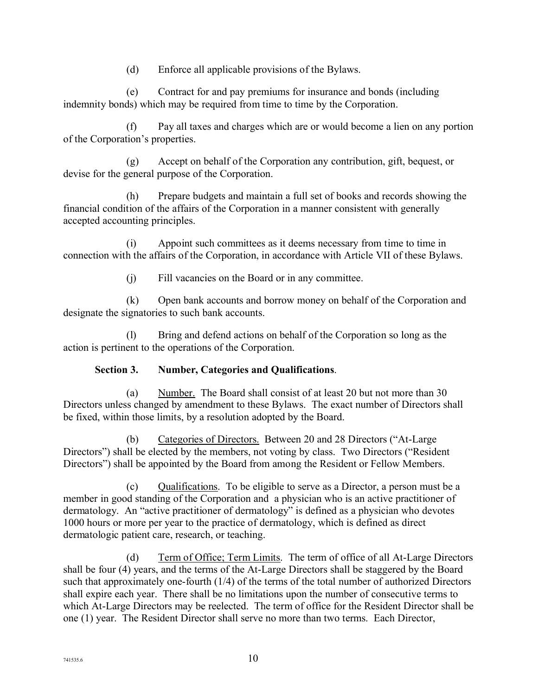(d) Enforce all applicable provisions of the Bylaws.

(e) Contract for and pay premiums for insurance and bonds (including indemnity bonds) which may be required from time to time by the Corporation.

Pay all taxes and charges which are or would become a lien on any portion of the Corporation's properties.

(g) Accept on behalf of the Corporation any contribution, gift, bequest, or devise for the general purpose of the Corporation.

(h) Prepare budgets and maintain a full set of books and records showing the financial condition of the affairs of the Corporation in a manner consistent with generally accepted accounting principles.

(i) Appoint such committees as it deems necessary from time to time in connection with the affairs of the Corporation, in accordance with Article VII of these Bylaws.

(j) Fill vacancies on the Board or in any committee.

(k) Open bank accounts and borrow money on behalf of the Corporation and designate the signatories to such bank accounts.

(l) Bring and defend actions on behalf of the Corporation so long as the action is pertinent to the operations of the Corporation.

## **Section 3. Number, Categories and Qualifications**.

(a) Number. The Board shall consist of at least 20 but not more than 30 Directors unless changed by amendment to these Bylaws. The exact number of Directors shall be fixed, within those limits, by a resolution adopted by the Board.

(b) Categories of Directors. Between 20 and 28 Directors ("At-Large Directors") shall be elected by the members, not voting by class. Two Directors ("Resident Directors") shall be appointed by the Board from among the Resident or Fellow Members.

(c) Qualifications. To be eligible to serve as a Director, a person must be a member in good standing of the Corporation and a physician who is an active practitioner of dermatology. An "active practitioner of dermatology" is defined as a physician who devotes 1000 hours or more per year to the practice of dermatology, which is defined as direct dermatologic patient care, research, or teaching.

(d) Term of Office; Term Limits. The term of office of all At-Large Directors shall be four (4) years, and the terms of the At-Large Directors shall be staggered by the Board such that approximately one-fourth (1/4) of the terms of the total number of authorized Directors shall expire each year. There shall be no limitations upon the number of consecutive terms to which At-Large Directors may be reelected. The term of office for the Resident Director shall be one (1) year. The Resident Director shall serve no more than two terms. Each Director,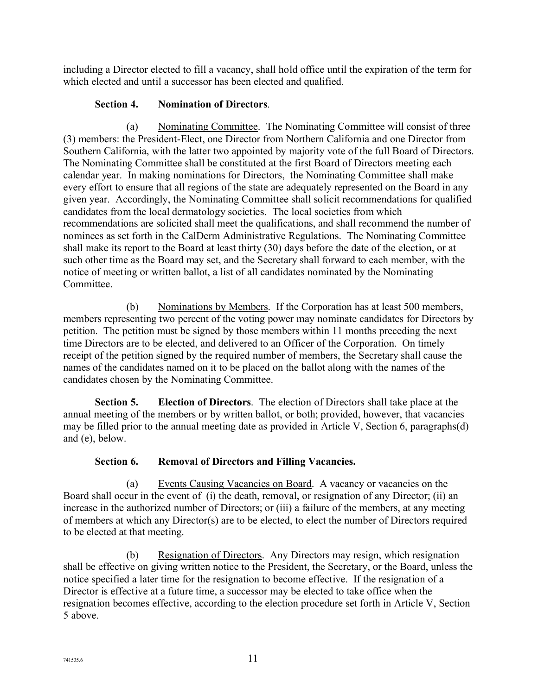including a Director elected to fill a vacancy, shall hold office until the expiration of the term for which elected and until a successor has been elected and qualified.

## **Section 4. Nomination of Directors**.

(a) Nominating Committee. The Nominating Committee will consist of three (3) members: the President-Elect, one Director from Northern California and one Director from Southern California, with the latter two appointed by majority vote of the full Board of Directors. The Nominating Committee shall be constituted at the first Board of Directors meeting each calendar year. In making nominations for Directors, the Nominating Committee shall make every effort to ensure that all regions of the state are adequately represented on the Board in any given year. Accordingly, the Nominating Committee shall solicit recommendations for qualified candidates from the local dermatology societies. The local societies from which recommendations are solicited shall meet the qualifications, and shall recommend the number of nominees as set forth in the CalDerm Administrative Regulations. The Nominating Committee shall make its report to the Board at least thirty (30) days before the date of the election, or at such other time as the Board may set, and the Secretary shall forward to each member, with the notice of meeting or written ballot, a list of all candidates nominated by the Nominating Committee.

(b) Nominations by Members. If the Corporation has at least 500 members, members representing two percent of the voting power may nominate candidates for Directors by petition. The petition must be signed by those members within 11 months preceding the next time Directors are to be elected, and delivered to an Officer of the Corporation. On timely receipt of the petition signed by the required number of members, the Secretary shall cause the names of the candidates named on it to be placed on the ballot along with the names of the candidates chosen by the Nominating Committee.

**Section 5. Election of Directors**. The election of Directors shall take place at the annual meeting of the members or by written ballot, or both; provided, however, that vacancies may be filled prior to the annual meeting date as provided in Article V, Section 6, paragraphs(d) and (e), below.

## **Section 6. Removal of Directors and Filling Vacancies.**

(a) Events Causing Vacancies on Board. A vacancy or vacancies on the Board shall occur in the event of (i) the death, removal, or resignation of any Director; (ii) an increase in the authorized number of Directors; or (iii) a failure of the members, at any meeting of members at which any Director(s) are to be elected, to elect the number of Directors required to be elected at that meeting.

(b) Resignation of Directors. Any Directors may resign, which resignation shall be effective on giving written notice to the President, the Secretary, or the Board, unless the notice specified a later time for the resignation to become effective. If the resignation of a Director is effective at a future time, a successor may be elected to take office when the resignation becomes effective, according to the election procedure set forth in Article V, Section 5 above.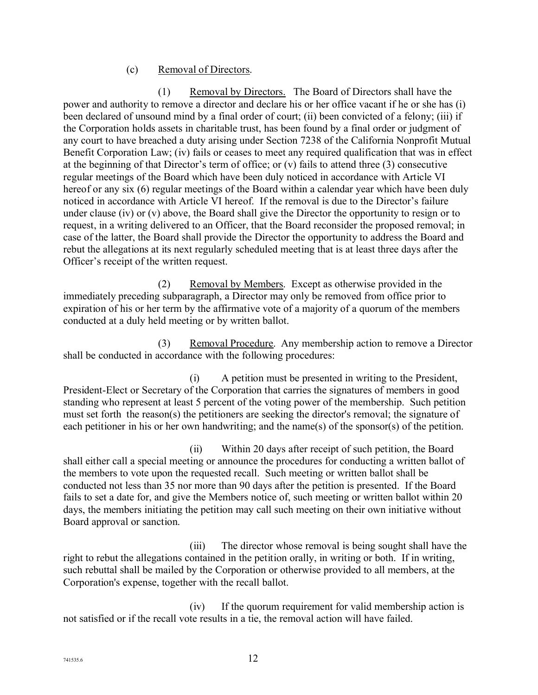#### (c) Removal of Directors.

(1) Removal by Directors. The Board of Directors shall have the power and authority to remove a director and declare his or her office vacant if he or she has (i) been declared of unsound mind by a final order of court; (ii) been convicted of a felony; (iii) if the Corporation holds assets in charitable trust, has been found by a final order or judgment of any court to have breached a duty arising under Section 7238 of the California Nonprofit Mutual Benefit Corporation Law; (iv) fails or ceases to meet any required qualification that was in effect at the beginning of that Director's term of office; or (v) fails to attend three (3) consecutive regular meetings of the Board which have been duly noticed in accordance with Article VI hereof or any six (6) regular meetings of the Board within a calendar year which have been duly noticed in accordance with Article VI hereof. If the removal is due to the Director's failure under clause (iv) or (v) above, the Board shall give the Director the opportunity to resign or to request, in a writing delivered to an Officer, that the Board reconsider the proposed removal; in case of the latter, the Board shall provide the Director the opportunity to address the Board and rebut the allegations at its next regularly scheduled meeting that is at least three days after the Officer's receipt of the written request.

(2) Removal by Members. Except as otherwise provided in the immediately preceding subparagraph, a Director may only be removed from office prior to expiration of his or her term by the affirmative vote of a majority of a quorum of the members conducted at a duly held meeting or by written ballot.

(3) Removal Procedure. Any membership action to remove a Director shall be conducted in accordance with the following procedures:

(i) A petition must be presented in writing to the President, President-Elect or Secretary of the Corporation that carries the signatures of members in good standing who represent at least 5 percent of the voting power of the membership. Such petition must set forth the reason(s) the petitioners are seeking the director's removal; the signature of each petitioner in his or her own handwriting; and the name(s) of the sponsor(s) of the petition.

(ii) Within 20 days after receipt of such petition, the Board shall either call a special meeting or announce the procedures for conducting a written ballot of the members to vote upon the requested recall. Such meeting or written ballot shall be conducted not less than 35 nor more than 90 days after the petition is presented. If the Board fails to set a date for, and give the Members notice of, such meeting or written ballot within 20 days, the members initiating the petition may call such meeting on their own initiative without Board approval or sanction.

(iii) The director whose removal is being sought shall have the right to rebut the allegations contained in the petition orally, in writing or both. If in writing, such rebuttal shall be mailed by the Corporation or otherwise provided to all members, at the Corporation's expense, together with the recall ballot.

(iv) If the quorum requirement for valid membership action is not satisfied or if the recall vote results in a tie, the removal action will have failed.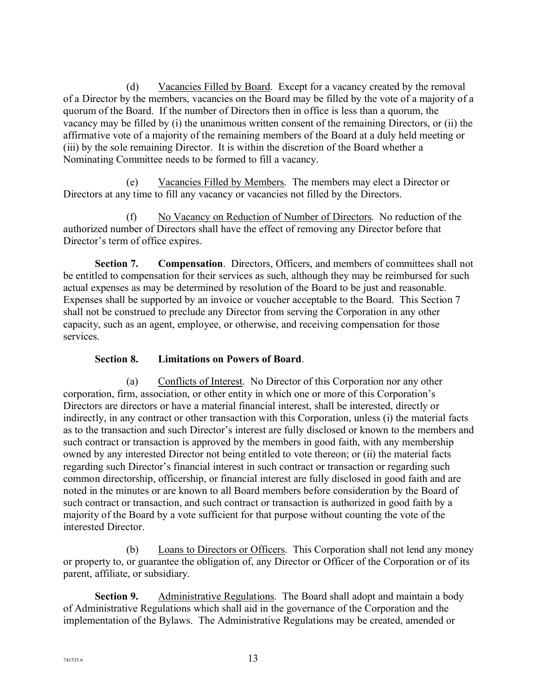(d) Vacancies Filled by Board. Except for a vacancy created by the removal of a Director by the members, vacancies on the Board may be filled by the vote of a majority of a quorum of the Board. If the number of Directors then in office is less than a quorum, the vacancy may be filled by (i) the unanimous written consent of the remaining Directors, or (ii) the affirmative vote of a majority of the remaining members of the Board at a duly held meeting or (iii) by the sole remaining Director. It is within the discretion of the Board whether a Nominating Committee needs to be formed to fill a vacancy.

(e) Vacancies Filled by Members. The members may elect a Director or Directors at any time to fill any vacancy or vacancies not filled by the Directors.

(f) No Vacancy on Reduction of Number of Directors. No reduction of the authorized number of Directors shall have the effect of removing any Director before that Director's term of office expires.

**Section 7. Compensation**. Directors, Officers, and members of committees shall not be entitled to compensation for their services as such, although they may be reimbursed for such actual expenses as may be determined by resolution of the Board to be just and reasonable. Expenses shall be supported by an invoice or voucher acceptable to the Board. This Section 7 shall not be construed to preclude any Director from serving the Corporation in any other capacity, such as an agent, employee, or otherwise, and receiving compensation for those services.

## **Section 8. Limitations on Powers of Board**.

(a) Conflicts of Interest. No Director of this Corporation nor any other corporation, firm, association, or other entity in which one or more of this Corporation's Directors are directors or have a material financial interest, shall be interested, directly or indirectly, in any contract or other transaction with this Corporation, unless (i) the material facts as to the transaction and such Director's interest are fully disclosed or known to the members and such contract or transaction is approved by the members in good faith, with any membership owned by any interested Director not being entitled to vote thereon; or (ii) the material facts regarding such Director's financial interest in such contract or transaction or regarding such common directorship, officership, or financial interest are fully disclosed in good faith and are noted in the minutes or are known to all Board members before consideration by the Board of such contract or transaction, and such contract or transaction is authorized in good faith by a majority of the Board by a vote sufficient for that purpose without counting the vote of the interested Director.

(b) Loans to Directors or Officers. This Corporation shall not lend any money or property to, or guarantee the obligation of, any Director or Officer of the Corporation or of its parent, affiliate, or subsidiary.

**Section 9.** Administrative Regulations. The Board shall adopt and maintain a body of Administrative Regulations which shall aid in the governance of the Corporation and the implementation of the Bylaws. The Administrative Regulations may be created, amended or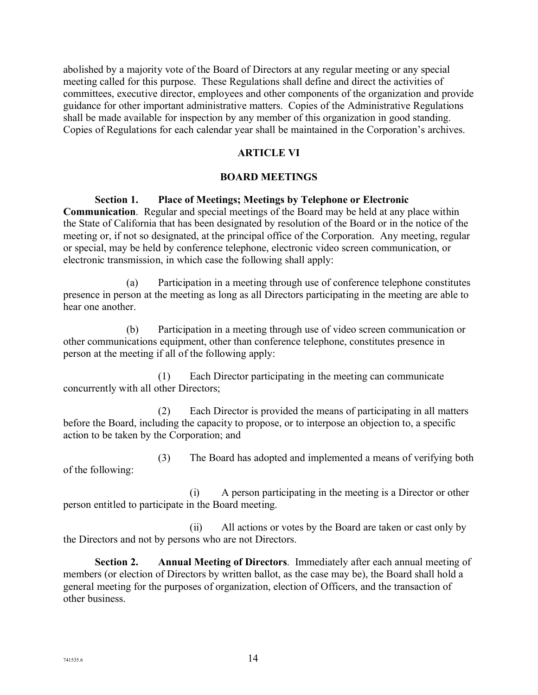abolished by a majority vote of the Board of Directors at any regular meeting or any special meeting called for this purpose. These Regulations shall define and direct the activities of committees, executive director, employees and other components of the organization and provide guidance for other important administrative matters. Copies of the Administrative Regulations shall be made available for inspection by any member of this organization in good standing. Copies of Regulations for each calendar year shall be maintained in the Corporation's archives.

## **ARTICLE VI**

#### **BOARD MEETINGS**

#### **Section 1. Place of Meetings; Meetings by Telephone or Electronic**

**Communication**. Regular and special meetings of the Board may be held at any place within the State of California that has been designated by resolution of the Board or in the notice of the meeting or, if not so designated, at the principal office of the Corporation. Any meeting, regular or special, may be held by conference telephone, electronic video screen communication, or electronic transmission, in which case the following shall apply:

(a) Participation in a meeting through use of conference telephone constitutes presence in person at the meeting as long as all Directors participating in the meeting are able to hear one another

(b) Participation in a meeting through use of video screen communication or other communications equipment, other than conference telephone, constitutes presence in person at the meeting if all of the following apply:

(1) Each Director participating in the meeting can communicate concurrently with all other Directors;

(2) Each Director is provided the means of participating in all matters before the Board, including the capacity to propose, or to interpose an objection to, a specific action to be taken by the Corporation; and

(3) The Board has adopted and implemented a means of verifying both of the following:

(i) A person participating in the meeting is a Director or other person entitled to participate in the Board meeting.

(ii) All actions or votes by the Board are taken or cast only by the Directors and not by persons who are not Directors.

**Section 2. Annual Meeting of Directors**. Immediately after each annual meeting of members (or election of Directors by written ballot, as the case may be), the Board shall hold a general meeting for the purposes of organization, election of Officers, and the transaction of other business.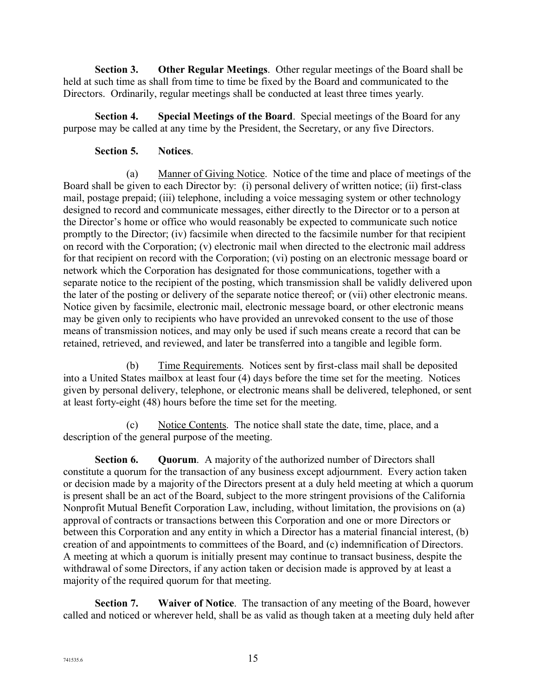**Section 3. Other Regular Meetings**. Other regular meetings of the Board shall be held at such time as shall from time to time be fixed by the Board and communicated to the Directors. Ordinarily, regular meetings shall be conducted at least three times yearly.

**Section 4. Special Meetings of the Board**. Special meetings of the Board for any purpose may be called at any time by the President, the Secretary, or any five Directors.

## **Section 5. Notices**.

(a) Manner of Giving Notice. Notice of the time and place of meetings of the Board shall be given to each Director by: (i) personal delivery of written notice; (ii) first-class mail, postage prepaid; (iii) telephone, including a voice messaging system or other technology designed to record and communicate messages, either directly to the Director or to a person at the Director's home or office who would reasonably be expected to communicate such notice promptly to the Director; (iv) facsimile when directed to the facsimile number for that recipient on record with the Corporation; (v) electronic mail when directed to the electronic mail address for that recipient on record with the Corporation; (vi) posting on an electronic message board or network which the Corporation has designated for those communications, together with a separate notice to the recipient of the posting, which transmission shall be validly delivered upon the later of the posting or delivery of the separate notice thereof; or (vii) other electronic means. Notice given by facsimile, electronic mail, electronic message board, or other electronic means may be given only to recipients who have provided an unrevoked consent to the use of those means of transmission notices, and may only be used if such means create a record that can be retained, retrieved, and reviewed, and later be transferred into a tangible and legible form.

(b) Time Requirements. Notices sent by first-class mail shall be deposited into a United States mailbox at least four (4) days before the time set for the meeting. Notices given by personal delivery, telephone, or electronic means shall be delivered, telephoned, or sent at least forty-eight (48) hours before the time set for the meeting.

(c) Notice Contents. The notice shall state the date, time, place, and a description of the general purpose of the meeting.

**Section 6. Quorum**. A majority of the authorized number of Directors shall constitute a quorum for the transaction of any business except adjournment. Every action taken or decision made by a majority of the Directors present at a duly held meeting at which a quorum is present shall be an act of the Board, subject to the more stringent provisions of the California Nonprofit Mutual Benefit Corporation Law, including, without limitation, the provisions on (a) approval of contracts or transactions between this Corporation and one or more Directors or between this Corporation and any entity in which a Director has a material financial interest, (b) creation of and appointments to committees of the Board, and (c) indemnification of Directors. A meeting at which a quorum is initially present may continue to transact business, despite the withdrawal of some Directors, if any action taken or decision made is approved by at least a majority of the required quorum for that meeting.

**Section 7. Waiver of Notice**. The transaction of any meeting of the Board, however called and noticed or wherever held, shall be as valid as though taken at a meeting duly held after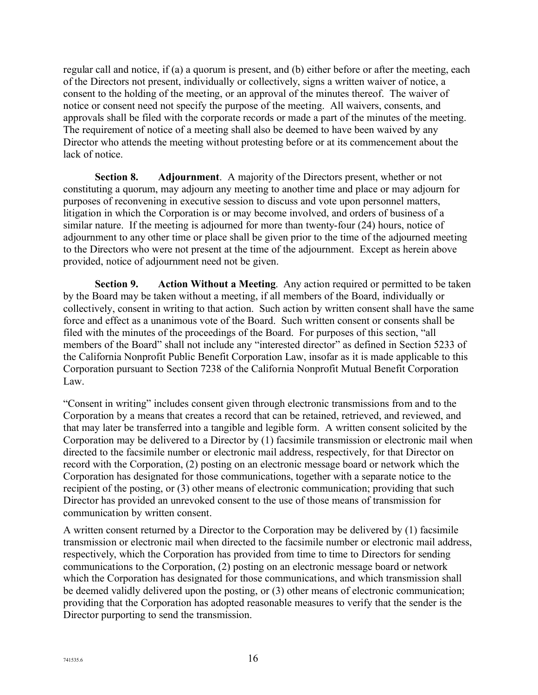regular call and notice, if (a) a quorum is present, and (b) either before or after the meeting, each of the Directors not present, individually or collectively, signs a written waiver of notice, a consent to the holding of the meeting, or an approval of the minutes thereof. The waiver of notice or consent need not specify the purpose of the meeting. All waivers, consents, and approvals shall be filed with the corporate records or made a part of the minutes of the meeting. The requirement of notice of a meeting shall also be deemed to have been waived by any Director who attends the meeting without protesting before or at its commencement about the lack of notice.

**Section 8. Adjournment**. A majority of the Directors present, whether or not constituting a quorum, may adjourn any meeting to another time and place or may adjourn for purposes of reconvening in executive session to discuss and vote upon personnel matters, litigation in which the Corporation is or may become involved, and orders of business of a similar nature. If the meeting is adjourned for more than twenty-four (24) hours, notice of adjournment to any other time or place shall be given prior to the time of the adjourned meeting to the Directors who were not present at the time of the adjournment. Except as herein above provided, notice of adjournment need not be given.

**Section 9. Action Without a Meeting**. Any action required or permitted to be taken by the Board may be taken without a meeting, if all members of the Board, individually or collectively, consent in writing to that action. Such action by written consent shall have the same force and effect as a unanimous vote of the Board. Such written consent or consents shall be filed with the minutes of the proceedings of the Board. For purposes of this section, "all members of the Board" shall not include any "interested director" as defined in Section 5233 of the California Nonprofit Public Benefit Corporation Law, insofar as it is made applicable to this Corporation pursuant to Section 7238 of the California Nonprofit Mutual Benefit Corporation Law.

"Consent in writing" includes consent given through electronic transmissions from and to the Corporation by a means that creates a record that can be retained, retrieved, and reviewed, and that may later be transferred into a tangible and legible form. A written consent solicited by the Corporation may be delivered to a Director by (1) facsimile transmission or electronic mail when directed to the facsimile number or electronic mail address, respectively, for that Director on record with the Corporation, (2) posting on an electronic message board or network which the Corporation has designated for those communications, together with a separate notice to the recipient of the posting, or (3) other means of electronic communication; providing that such Director has provided an unrevoked consent to the use of those means of transmission for communication by written consent.

A written consent returned by a Director to the Corporation may be delivered by (1) facsimile transmission or electronic mail when directed to the facsimile number or electronic mail address, respectively, which the Corporation has provided from time to time to Directors for sending communications to the Corporation, (2) posting on an electronic message board or network which the Corporation has designated for those communications, and which transmission shall be deemed validly delivered upon the posting, or (3) other means of electronic communication; providing that the Corporation has adopted reasonable measures to verify that the sender is the Director purporting to send the transmission.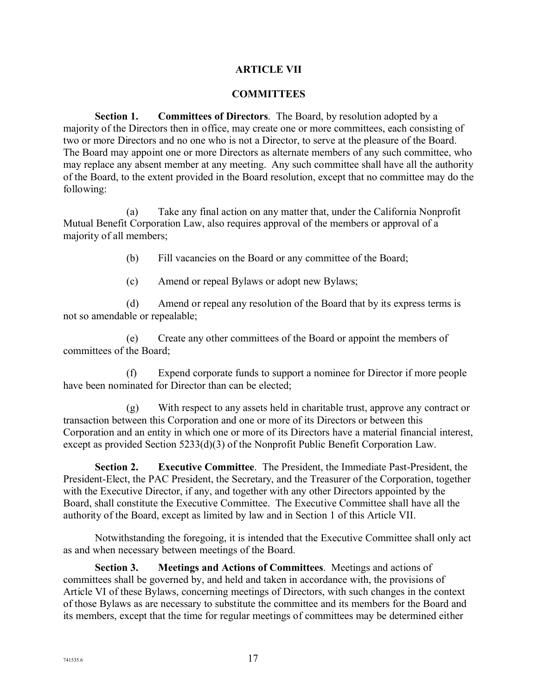### **ARTICLE VII**

#### **COMMITTEES**

**Section 1. Committees of Directors**. The Board, by resolution adopted by a majority of the Directors then in office, may create one or more committees, each consisting of two or more Directors and no one who is not a Director, to serve at the pleasure of the Board. The Board may appoint one or more Directors as alternate members of any such committee, who may replace any absent member at any meeting. Any such committee shall have all the authority of the Board, to the extent provided in the Board resolution, except that no committee may do the following:

(a) Take any final action on any matter that, under the California Nonprofit Mutual Benefit Corporation Law, also requires approval of the members or approval of a majority of all members;

(b) Fill vacancies on the Board or any committee of the Board;

(c) Amend or repeal Bylaws or adopt new Bylaws;

(d) Amend or repeal any resolution of the Board that by its express terms is not so amendable or repealable;

(e) Create any other committees of the Board or appoint the members of committees of the Board;

(f) Expend corporate funds to support a nominee for Director if more people have been nominated for Director than can be elected;

(g) With respect to any assets held in charitable trust, approve any contract or transaction between this Corporation and one or more of its Directors or between this Corporation and an entity in which one or more of its Directors have a material financial interest, except as provided Section 5233(d)(3) of the Nonprofit Public Benefit Corporation Law.

**Section 2. Executive Committee**. The President, the Immediate Past-President, the President-Elect, the PAC President, the Secretary, and the Treasurer of the Corporation, together with the Executive Director, if any, and together with any other Directors appointed by the Board, shall constitute the Executive Committee. The Executive Committee shall have all the authority of the Board, except as limited by law and in Section 1 of this Article VII.

Notwithstanding the foregoing, it is intended that the Executive Committee shall only act as and when necessary between meetings of the Board.

**Section 3. Meetings and Actions of Committees**. Meetings and actions of committees shall be governed by, and held and taken in accordance with, the provisions of Article VI of these Bylaws, concerning meetings of Directors, with such changes in the context of those Bylaws as are necessary to substitute the committee and its members for the Board and its members, except that the time for regular meetings of committees may be determined either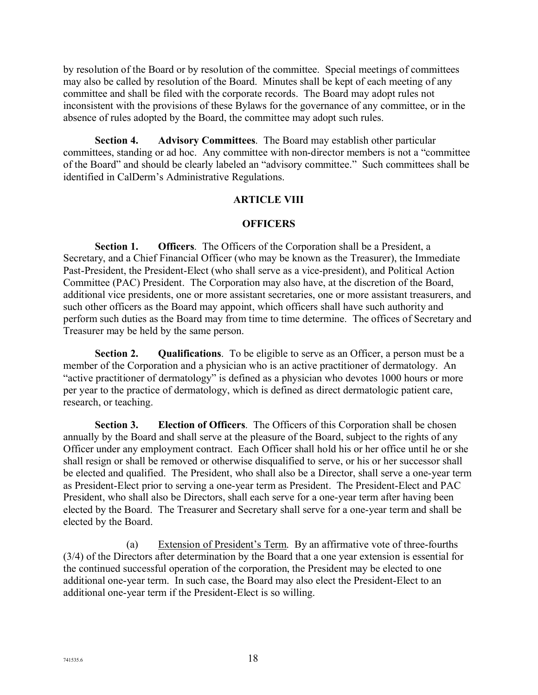by resolution of the Board or by resolution of the committee. Special meetings of committees may also be called by resolution of the Board. Minutes shall be kept of each meeting of any committee and shall be filed with the corporate records. The Board may adopt rules not inconsistent with the provisions of these Bylaws for the governance of any committee, or in the absence of rules adopted by the Board, the committee may adopt such rules.

**Section 4. Advisory Committees**. The Board may establish other particular committees, standing or ad hoc. Any committee with non-director members is not a "committee of the Board" and should be clearly labeled an "advisory committee." Such committees shall be identified in CalDerm's Administrative Regulations.

#### **ARTICLE VIII**

#### **OFFICERS**

**Section 1. Officers**. The Officers of the Corporation shall be a President, a Secretary, and a Chief Financial Officer (who may be known as the Treasurer), the Immediate Past-President, the President-Elect (who shall serve as a vice-president), and Political Action Committee (PAC) President. The Corporation may also have, at the discretion of the Board, additional vice presidents, one or more assistant secretaries, one or more assistant treasurers, and such other officers as the Board may appoint, which officers shall have such authority and perform such duties as the Board may from time to time determine. The offices of Secretary and Treasurer may be held by the same person.

**Section 2. Qualifications**. To be eligible to serve as an Officer, a person must be a member of the Corporation and a physician who is an active practitioner of dermatology. An "active practitioner of dermatology" is defined as a physician who devotes 1000 hours or more per year to the practice of dermatology, which is defined as direct dermatologic patient care, research, or teaching.

**Section 3. Election of Officers**. The Officers of this Corporation shall be chosen annually by the Board and shall serve at the pleasure of the Board, subject to the rights of any Officer under any employment contract. Each Officer shall hold his or her office until he or she shall resign or shall be removed or otherwise disqualified to serve, or his or her successor shall be elected and qualified. The President, who shall also be a Director, shall serve a one-year term as President-Elect prior to serving a one-year term as President. The President-Elect and PAC President, who shall also be Directors, shall each serve for a one-year term after having been elected by the Board. The Treasurer and Secretary shall serve for a one-year term and shall be elected by the Board.

(a) Extension of President's Term. By an affirmative vote of three-fourths (3/4) of the Directors after determination by the Board that a one year extension is essential for the continued successful operation of the corporation, the President may be elected to one additional one-year term. In such case, the Board may also elect the President-Elect to an additional one-year term if the President-Elect is so willing.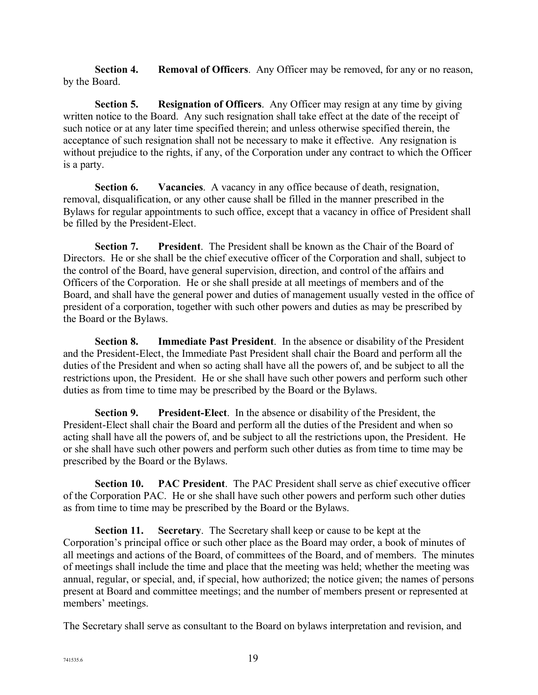**Section 4. Removal of Officers**. Any Officer may be removed, for any or no reason, by the Board.

**Section 5. Resignation of Officers**. Any Officer may resign at any time by giving written notice to the Board. Any such resignation shall take effect at the date of the receipt of such notice or at any later time specified therein; and unless otherwise specified therein, the acceptance of such resignation shall not be necessary to make it effective. Any resignation is without prejudice to the rights, if any, of the Corporation under any contract to which the Officer is a party.

**Section 6. Vacancies**. A vacancy in any office because of death, resignation, removal, disqualification, or any other cause shall be filled in the manner prescribed in the Bylaws for regular appointments to such office, except that a vacancy in office of President shall be filled by the President-Elect.

**Section 7. President**. The President shall be known as the Chair of the Board of Directors. He or she shall be the chief executive officer of the Corporation and shall, subject to the control of the Board, have general supervision, direction, and control of the affairs and Officers of the Corporation. He or she shall preside at all meetings of members and of the Board, and shall have the general power and duties of management usually vested in the office of president of a corporation, together with such other powers and duties as may be prescribed by the Board or the Bylaws.

**Section 8. Immediate Past President**. In the absence or disability of the President and the President-Elect, the Immediate Past President shall chair the Board and perform all the duties of the President and when so acting shall have all the powers of, and be subject to all the restrictions upon, the President. He or she shall have such other powers and perform such other duties as from time to time may be prescribed by the Board or the Bylaws.

**Section 9. President-Elect**. In the absence or disability of the President, the President-Elect shall chair the Board and perform all the duties of the President and when so acting shall have all the powers of, and be subject to all the restrictions upon, the President. He or she shall have such other powers and perform such other duties as from time to time may be prescribed by the Board or the Bylaws.

**Section 10. PAC President**. The PAC President shall serve as chief executive officer of the Corporation PAC. He or she shall have such other powers and perform such other duties as from time to time may be prescribed by the Board or the Bylaws.

**Section 11. Secretary**. The Secretary shall keep or cause to be kept at the Corporation's principal office or such other place as the Board may order, a book of minutes of all meetings and actions of the Board, of committees of the Board, and of members. The minutes of meetings shall include the time and place that the meeting was held; whether the meeting was annual, regular, or special, and, if special, how authorized; the notice given; the names of persons present at Board and committee meetings; and the number of members present or represented at members' meetings.

The Secretary shall serve as consultant to the Board on bylaws interpretation and revision, and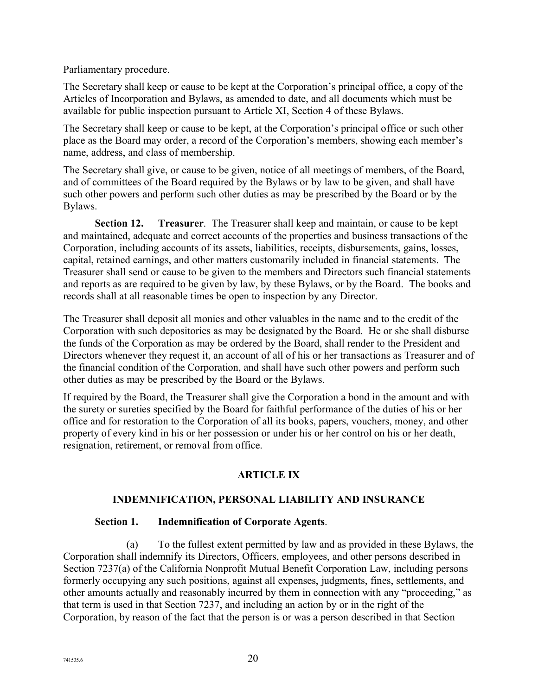#### Parliamentary procedure.

The Secretary shall keep or cause to be kept at the Corporation's principal office, a copy of the Articles of Incorporation and Bylaws, as amended to date, and all documents which must be available for public inspection pursuant to Article XI, Section 4 of these Bylaws.

The Secretary shall keep or cause to be kept, at the Corporation's principal office or such other place as the Board may order, a record of the Corporation's members, showing each member's name, address, and class of membership.

The Secretary shall give, or cause to be given, notice of all meetings of members, of the Board, and of committees of the Board required by the Bylaws or by law to be given, and shall have such other powers and perform such other duties as may be prescribed by the Board or by the Bylaws.

**Section 12. Treasurer**. The Treasurer shall keep and maintain, or cause to be kept and maintained, adequate and correct accounts of the properties and business transactions of the Corporation, including accounts of its assets, liabilities, receipts, disbursements, gains, losses, capital, retained earnings, and other matters customarily included in financial statements. The Treasurer shall send or cause to be given to the members and Directors such financial statements and reports as are required to be given by law, by these Bylaws, or by the Board. The books and records shall at all reasonable times be open to inspection by any Director.

The Treasurer shall deposit all monies and other valuables in the name and to the credit of the Corporation with such depositories as may be designated by the Board. He or she shall disburse the funds of the Corporation as may be ordered by the Board, shall render to the President and Directors whenever they request it, an account of all of his or her transactions as Treasurer and of the financial condition of the Corporation, and shall have such other powers and perform such other duties as may be prescribed by the Board or the Bylaws.

If required by the Board, the Treasurer shall give the Corporation a bond in the amount and with the surety or sureties specified by the Board for faithful performance of the duties of his or her office and for restoration to the Corporation of all its books, papers, vouchers, money, and other property of every kind in his or her possession or under his or her control on his or her death, resignation, retirement, or removal from office.

## **ARTICLE IX**

## **INDEMNIFICATION, PERSONAL LIABILITY AND INSURANCE**

## **Section 1. Indemnification of Corporate Agents**.

(a) To the fullest extent permitted by law and as provided in these Bylaws, the Corporation shall indemnify its Directors, Officers, employees, and other persons described in Section 7237(a) of the California Nonprofit Mutual Benefit Corporation Law, including persons formerly occupying any such positions, against all expenses, judgments, fines, settlements, and other amounts actually and reasonably incurred by them in connection with any "proceeding," as that term is used in that Section 7237, and including an action by or in the right of the Corporation, by reason of the fact that the person is or was a person described in that Section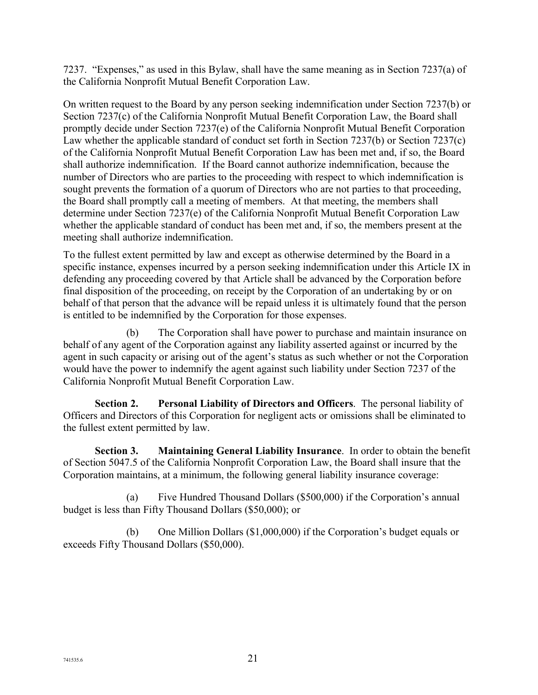7237. "Expenses," as used in this Bylaw, shall have the same meaning as in Section 7237(a) of the California Nonprofit Mutual Benefit Corporation Law.

On written request to the Board by any person seeking indemnification under Section 7237(b) or Section 7237(c) of the California Nonprofit Mutual Benefit Corporation Law, the Board shall promptly decide under Section 7237(e) of the California Nonprofit Mutual Benefit Corporation Law whether the applicable standard of conduct set forth in Section 7237(b) or Section 7237(c) of the California Nonprofit Mutual Benefit Corporation Law has been met and, if so, the Board shall authorize indemnification. If the Board cannot authorize indemnification, because the number of Directors who are parties to the proceeding with respect to which indemnification is sought prevents the formation of a quorum of Directors who are not parties to that proceeding, the Board shall promptly call a meeting of members. At that meeting, the members shall determine under Section 7237(e) of the California Nonprofit Mutual Benefit Corporation Law whether the applicable standard of conduct has been met and, if so, the members present at the meeting shall authorize indemnification.

To the fullest extent permitted by law and except as otherwise determined by the Board in a specific instance, expenses incurred by a person seeking indemnification under this Article IX in defending any proceeding covered by that Article shall be advanced by the Corporation before final disposition of the proceeding, on receipt by the Corporation of an undertaking by or on behalf of that person that the advance will be repaid unless it is ultimately found that the person is entitled to be indemnified by the Corporation for those expenses.

(b) The Corporation shall have power to purchase and maintain insurance on behalf of any agent of the Corporation against any liability asserted against or incurred by the agent in such capacity or arising out of the agent's status as such whether or not the Corporation would have the power to indemnify the agent against such liability under Section 7237 of the California Nonprofit Mutual Benefit Corporation Law.

**Section 2. Personal Liability of Directors and Officers**. The personal liability of Officers and Directors of this Corporation for negligent acts or omissions shall be eliminated to the fullest extent permitted by law.

**Section 3. Maintaining General Liability Insurance**. In order to obtain the benefit of Section 5047.5 of the California Nonprofit Corporation Law, the Board shall insure that the Corporation maintains, at a minimum, the following general liability insurance coverage:

(a) Five Hundred Thousand Dollars (\$500,000) if the Corporation's annual budget is less than Fifty Thousand Dollars (\$50,000); or

(b) One Million Dollars (\$1,000,000) if the Corporation's budget equals or exceeds Fifty Thousand Dollars (\$50,000).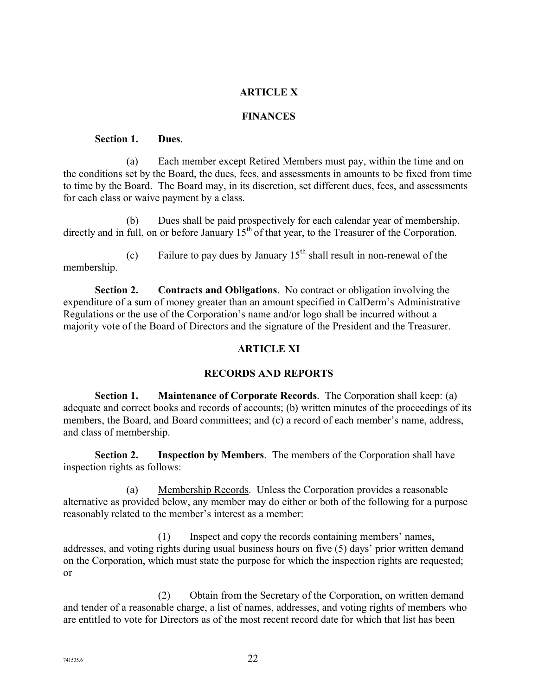## **ARTICLE X**

#### **FINANCES**

#### **Section 1. Dues**.

(a) Each member except Retired Members must pay, within the time and on the conditions set by the Board, the dues, fees, and assessments in amounts to be fixed from time to time by the Board. The Board may, in its discretion, set different dues, fees, and assessments for each class or waive payment by a class.

(b) Dues shall be paid prospectively for each calendar year of membership, directly and in full, on or before January  $15<sup>th</sup>$  of that year, to the Treasurer of the Corporation.

(c) Failure to pay dues by January  $15<sup>th</sup>$  shall result in non-renewal of the membership.

**Section 2. Contracts and Obligations**. No contract or obligation involving the expenditure of a sum of money greater than an amount specified in CalDerm's Administrative Regulations or the use of the Corporation's name and/or logo shall be incurred without a majority vote of the Board of Directors and the signature of the President and the Treasurer.

## **ARTICLE XI**

## **RECORDS AND REPORTS**

**Section 1. Maintenance of Corporate Records**. The Corporation shall keep: (a) adequate and correct books and records of accounts; (b) written minutes of the proceedings of its members, the Board, and Board committees; and (c) a record of each member's name, address, and class of membership.

**Section 2. Inspection by Members**. The members of the Corporation shall have inspection rights as follows:

(a) Membership Records. Unless the Corporation provides a reasonable alternative as provided below, any member may do either or both of the following for a purpose reasonably related to the member's interest as a member:

(1) Inspect and copy the records containing members' names, addresses, and voting rights during usual business hours on five (5) days' prior written demand on the Corporation, which must state the purpose for which the inspection rights are requested; or

(2) Obtain from the Secretary of the Corporation, on written demand and tender of a reasonable charge, a list of names, addresses, and voting rights of members who are entitled to vote for Directors as of the most recent record date for which that list has been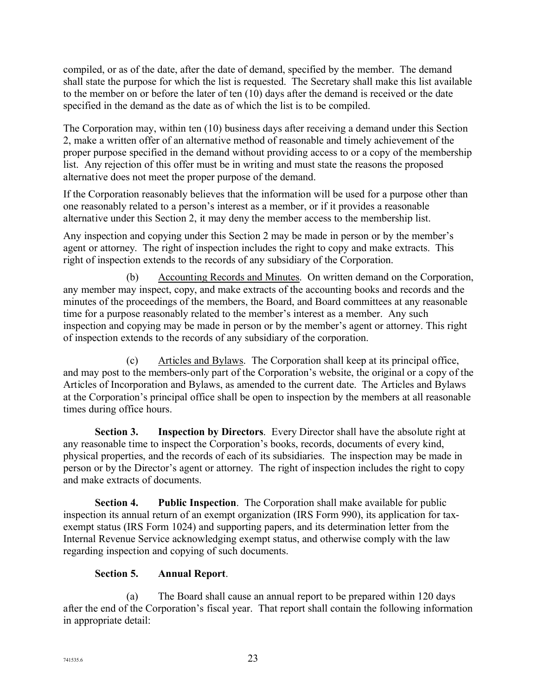compiled, or as of the date, after the date of demand, specified by the member. The demand shall state the purpose for which the list is requested. The Secretary shall make this list available to the member on or before the later of ten (10) days after the demand is received or the date specified in the demand as the date as of which the list is to be compiled.

The Corporation may, within ten (10) business days after receiving a demand under this Section 2, make a written offer of an alternative method of reasonable and timely achievement of the proper purpose specified in the demand without providing access to or a copy of the membership list. Any rejection of this offer must be in writing and must state the reasons the proposed alternative does not meet the proper purpose of the demand.

If the Corporation reasonably believes that the information will be used for a purpose other than one reasonably related to a person's interest as a member, or if it provides a reasonable alternative under this Section 2, it may deny the member access to the membership list.

Any inspection and copying under this Section 2 may be made in person or by the member's agent or attorney. The right of inspection includes the right to copy and make extracts. This right of inspection extends to the records of any subsidiary of the Corporation.

(b) Accounting Records and Minutes. On written demand on the Corporation, any member may inspect, copy, and make extracts of the accounting books and records and the minutes of the proceedings of the members, the Board, and Board committees at any reasonable time for a purpose reasonably related to the member's interest as a member. Any such inspection and copying may be made in person or by the member's agent or attorney. This right of inspection extends to the records of any subsidiary of the corporation.

(c) Articles and Bylaws. The Corporation shall keep at its principal office, and may post to the members-only part of the Corporation's website, the original or a copy of the Articles of Incorporation and Bylaws, as amended to the current date. The Articles and Bylaws at the Corporation's principal office shall be open to inspection by the members at all reasonable times during office hours.

**Section 3. Inspection by Directors**. Every Director shall have the absolute right at any reasonable time to inspect the Corporation's books, records, documents of every kind, physical properties, and the records of each of its subsidiaries. The inspection may be made in person or by the Director's agent or attorney. The right of inspection includes the right to copy and make extracts of documents.

**Section 4. Public Inspection**. The Corporation shall make available for public inspection its annual return of an exempt organization (IRS Form 990), its application for taxexempt status (IRS Form 1024) and supporting papers, and its determination letter from the Internal Revenue Service acknowledging exempt status, and otherwise comply with the law regarding inspection and copying of such documents.

## **Section 5. Annual Report**.

(a) The Board shall cause an annual report to be prepared within 120 days after the end of the Corporation's fiscal year. That report shall contain the following information in appropriate detail: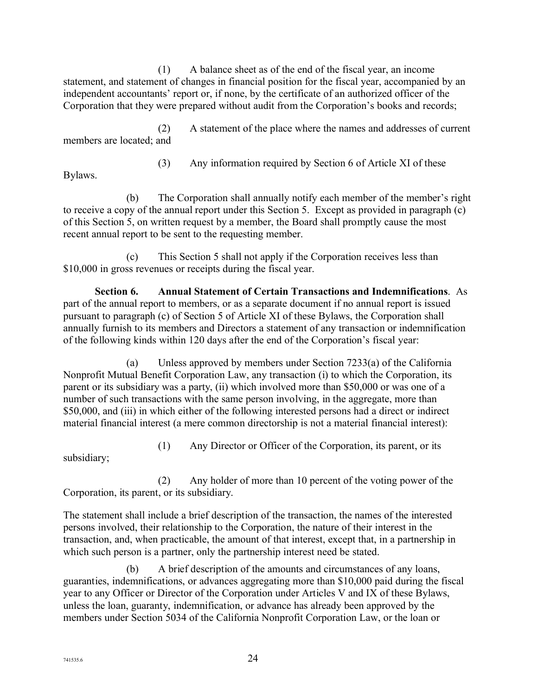(1) A balance sheet as of the end of the fiscal year, an income statement, and statement of changes in financial position for the fiscal year, accompanied by an independent accountants' report or, if none, by the certificate of an authorized officer of the Corporation that they were prepared without audit from the Corporation's books and records;

(2) A statement of the place where the names and addresses of current members are located; and

(3) Any information required by Section 6 of Article XI of these

Bylaws.

(b) The Corporation shall annually notify each member of the member's right to receive a copy of the annual report under this Section 5. Except as provided in paragraph (c) of this Section 5, on written request by a member, the Board shall promptly cause the most recent annual report to be sent to the requesting member.

(c) This Section 5 shall not apply if the Corporation receives less than \$10,000 in gross revenues or receipts during the fiscal year.

**Section 6. Annual Statement of Certain Transactions and Indemnifications**. As part of the annual report to members, or as a separate document if no annual report is issued pursuant to paragraph (c) of Section 5 of Article XI of these Bylaws, the Corporation shall annually furnish to its members and Directors a statement of any transaction or indemnification of the following kinds within 120 days after the end of the Corporation's fiscal year:

(a) Unless approved by members under Section 7233(a) of the California Nonprofit Mutual Benefit Corporation Law, any transaction (i) to which the Corporation, its parent or its subsidiary was a party, (ii) which involved more than \$50,000 or was one of a number of such transactions with the same person involving, in the aggregate, more than \$50,000, and (iii) in which either of the following interested persons had a direct or indirect material financial interest (a mere common directorship is not a material financial interest):

(1) Any Director or Officer of the Corporation, its parent, or its

subsidiary;

(2) Any holder of more than 10 percent of the voting power of the Corporation, its parent, or its subsidiary.

The statement shall include a brief description of the transaction, the names of the interested persons involved, their relationship to the Corporation, the nature of their interest in the transaction, and, when practicable, the amount of that interest, except that, in a partnership in which such person is a partner, only the partnership interest need be stated.

(b) A brief description of the amounts and circumstances of any loans, guaranties, indemnifications, or advances aggregating more than \$10,000 paid during the fiscal year to any Officer or Director of the Corporation under Articles V and IX of these Bylaws, unless the loan, guaranty, indemnification, or advance has already been approved by the members under Section 5034 of the California Nonprofit Corporation Law, or the loan or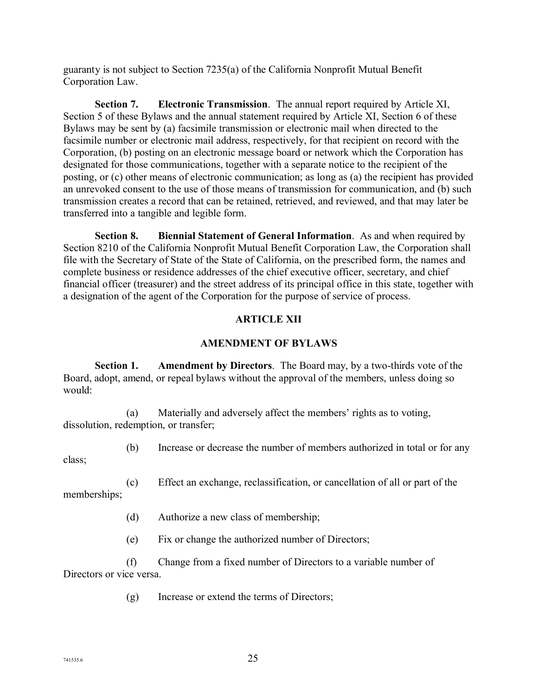guaranty is not subject to Section 7235(a) of the California Nonprofit Mutual Benefit Corporation Law.

**Section 7. Electronic Transmission**. The annual report required by Article XI, Section 5 of these Bylaws and the annual statement required by Article XI, Section 6 of these Bylaws may be sent by (a) facsimile transmission or electronic mail when directed to the facsimile number or electronic mail address, respectively, for that recipient on record with the Corporation, (b) posting on an electronic message board or network which the Corporation has designated for those communications, together with a separate notice to the recipient of the posting, or (c) other means of electronic communication; as long as (a) the recipient has provided an unrevoked consent to the use of those means of transmission for communication, and (b) such transmission creates a record that can be retained, retrieved, and reviewed, and that may later be transferred into a tangible and legible form.

**Section 8. Biennial Statement of General Information**. As and when required by Section 8210 of the California Nonprofit Mutual Benefit Corporation Law, the Corporation shall file with the Secretary of State of the State of California, on the prescribed form, the names and complete business or residence addresses of the chief executive officer, secretary, and chief financial officer (treasurer) and the street address of its principal office in this state, together with a designation of the agent of the Corporation for the purpose of service of process.

## **ARTICLE XII**

## **AMENDMENT OF BYLAWS**

**Section 1. Amendment by Directors**. The Board may, by a two-thirds vote of the Board, adopt, amend, or repeal bylaws without the approval of the members, unless doing so would:

(a) Materially and adversely affect the members' rights as to voting, dissolution, redemption, or transfer;

(b) Increase or decrease the number of members authorized in total or for any class;

(c) Effect an exchange, reclassification, or cancellation of all or part of the memberships;

- (d) Authorize a new class of membership;
- (e) Fix or change the authorized number of Directors;

(f) Change from a fixed number of Directors to a variable number of Directors or vice versa.

(g) Increase or extend the terms of Directors;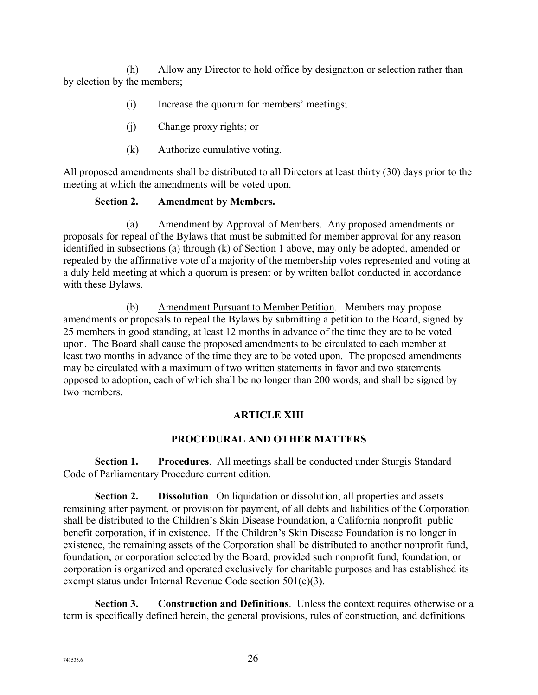(h) Allow any Director to hold office by designation or selection rather than by election by the members;

- (i) Increase the quorum for members' meetings;
- (j) Change proxy rights; or
- (k) Authorize cumulative voting.

All proposed amendments shall be distributed to all Directors at least thirty (30) days prior to the meeting at which the amendments will be voted upon.

#### **Section 2. Amendment by Members.**

(a) Amendment by Approval of Members. Any proposed amendments or proposals for repeal of the Bylaws that must be submitted for member approval for any reason identified in subsections (a) through (k) of Section 1 above, may only be adopted, amended or repealed by the affirmative vote of a majority of the membership votes represented and voting at a duly held meeting at which a quorum is present or by written ballot conducted in accordance with these Bylaws.

(b) Amendment Pursuant to Member Petition. Members may propose amendments or proposals to repeal the Bylaws by submitting a petition to the Board, signed by 25 members in good standing, at least 12 months in advance of the time they are to be voted upon. The Board shall cause the proposed amendments to be circulated to each member at least two months in advance of the time they are to be voted upon. The proposed amendments may be circulated with a maximum of two written statements in favor and two statements opposed to adoption, each of which shall be no longer than 200 words, and shall be signed by two members.

## **ARTICLE XIII**

## **PROCEDURAL AND OTHER MATTERS**

**Section 1. Procedures**. All meetings shall be conducted under Sturgis Standard Code of Parliamentary Procedure current edition.

**Section 2. Dissolution**. On liquidation or dissolution, all properties and assets remaining after payment, or provision for payment, of all debts and liabilities of the Corporation shall be distributed to the Children's Skin Disease Foundation, a California nonprofit public benefit corporation, if in existence. If the Children's Skin Disease Foundation is no longer in existence, the remaining assets of the Corporation shall be distributed to another nonprofit fund, foundation, or corporation selected by the Board, provided such nonprofit fund, foundation, or corporation is organized and operated exclusively for charitable purposes and has established its exempt status under Internal Revenue Code section 501(c)(3).

**Section 3. Construction and Definitions**. Unless the context requires otherwise or a term is specifically defined herein, the general provisions, rules of construction, and definitions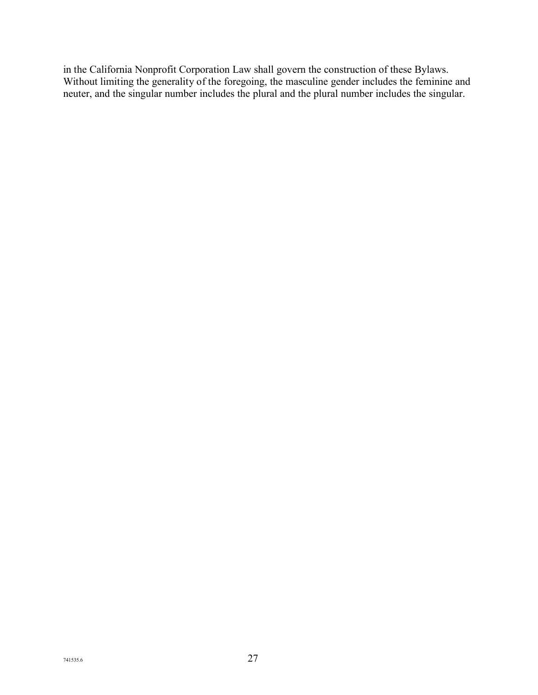in the California Nonprofit Corporation Law shall govern the construction of these Bylaws. Without limiting the generality of the foregoing, the masculine gender includes the feminine and neuter, and the singular number includes the plural and the plural number includes the singular.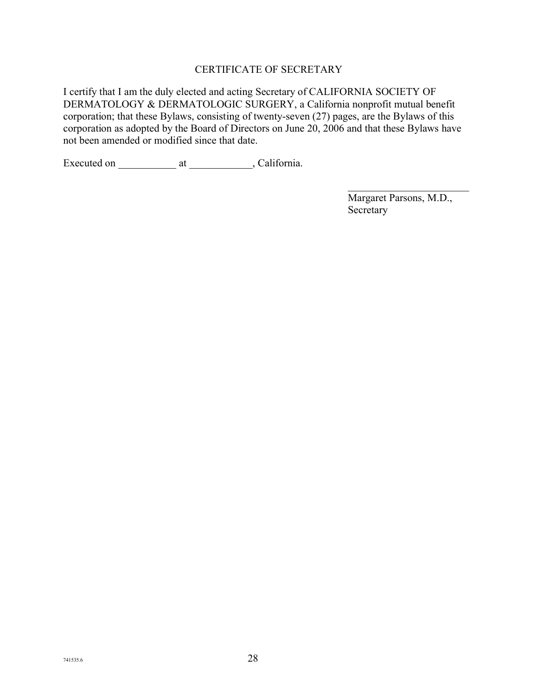## CERTIFICATE OF SECRETARY

I certify that I am the duly elected and acting Secretary of CALIFORNIA SOCIETY OF DERMATOLOGY & DERMATOLOGIC SURGERY, a California nonprofit mutual benefit corporation; that these Bylaws, consisting of twenty-seven (27) pages, are the Bylaws of this corporation as adopted by the Board of Directors on June 20, 2006 and that these Bylaws have not been amended or modified since that date.

Executed on \_\_\_\_\_\_\_\_\_\_\_\_\_\_\_\_\_ at \_\_\_\_\_\_\_\_\_\_\_\_, California.

Margaret Parsons, M.D., Secretary

 $\mathcal{L}_\text{max}$  , where  $\mathcal{L}_\text{max}$  , we have the set of  $\mathcal{L}_\text{max}$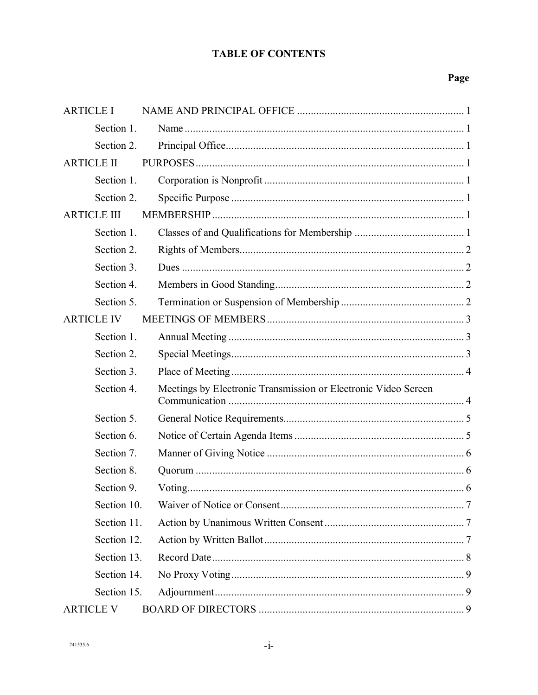## **TABLE OF CONTENTS**

| <b>ARTICLE I</b>   |                                                                |
|--------------------|----------------------------------------------------------------|
| Section 1.         |                                                                |
| Section 2.         |                                                                |
| <b>ARTICLE II</b>  |                                                                |
| Section 1.         |                                                                |
| Section 2.         |                                                                |
| <b>ARTICLE III</b> |                                                                |
| Section 1.         |                                                                |
| Section 2.         |                                                                |
| Section 3.         |                                                                |
| Section 4.         |                                                                |
| Section 5.         |                                                                |
| <b>ARTICLE IV</b>  |                                                                |
| Section 1.         |                                                                |
| Section 2.         |                                                                |
| Section 3.         |                                                                |
| Section 4.         | Meetings by Electronic Transmission or Electronic Video Screen |
| Section 5.         |                                                                |
| Section 6.         |                                                                |
| Section 7.         |                                                                |
| Section 8.         |                                                                |
| Section 9.         |                                                                |
| Section 10.        |                                                                |
| Section 11.        |                                                                |
| Section 12.        |                                                                |
| Section 13.        |                                                                |
| Section 14.        |                                                                |
| Section 15.        |                                                                |
| <b>ARTICLE V</b>   |                                                                |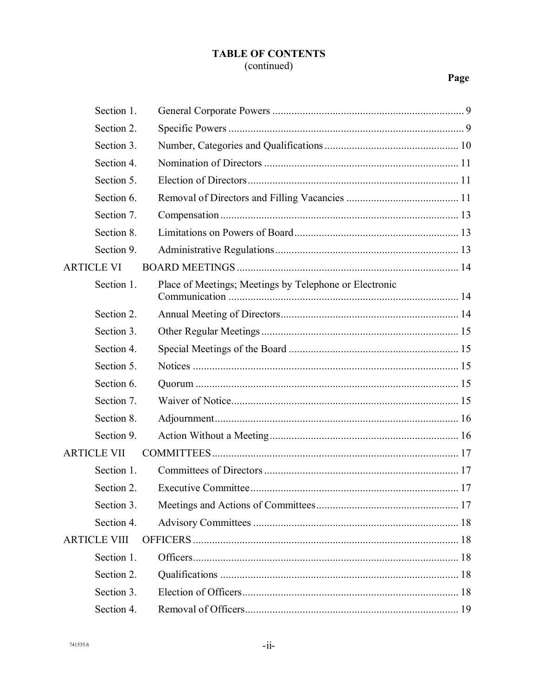## **TABLE OF CONTENTS** (continued)

| Section 1.          |                                                        |  |
|---------------------|--------------------------------------------------------|--|
| Section 2.          |                                                        |  |
| Section 3.          |                                                        |  |
| Section 4.          |                                                        |  |
| Section 5.          |                                                        |  |
| Section 6.          |                                                        |  |
| Section 7.          |                                                        |  |
| Section 8.          |                                                        |  |
| Section 9.          |                                                        |  |
| <b>ARTICLE VI</b>   |                                                        |  |
| Section 1.          | Place of Meetings; Meetings by Telephone or Electronic |  |
| Section 2.          |                                                        |  |
| Section 3.          |                                                        |  |
| Section 4.          |                                                        |  |
| Section 5.          |                                                        |  |
| Section 6.          |                                                        |  |
| Section 7.          |                                                        |  |
| Section 8.          |                                                        |  |
| Section 9.          |                                                        |  |
| <b>ARTICLE VII</b>  |                                                        |  |
| Section 1.          |                                                        |  |
| Section 2.          |                                                        |  |
| Section 3.          |                                                        |  |
| Section 4.          |                                                        |  |
| <b>ARTICLE VIII</b> |                                                        |  |
| Section 1.          |                                                        |  |
| Section 2.          |                                                        |  |
| Section 3.          |                                                        |  |
| Section 4.          |                                                        |  |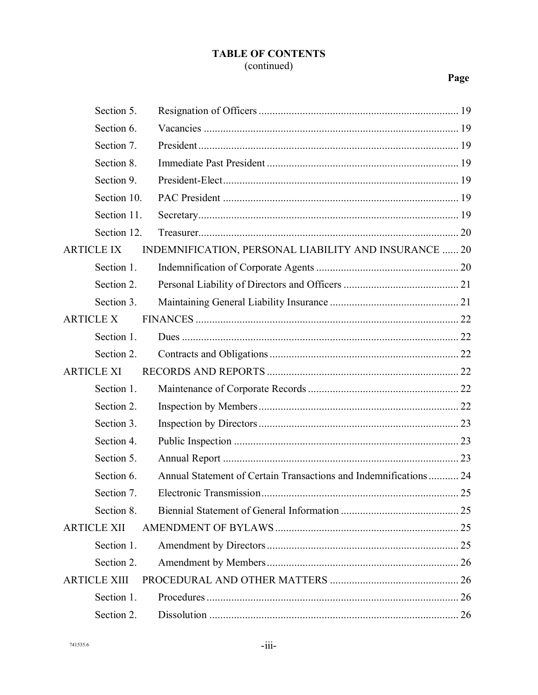## **TABLE OF CONTENTS** (continued)

| Section 5.          |                                                                  |    |
|---------------------|------------------------------------------------------------------|----|
| Section 6.          |                                                                  |    |
| Section 7.          |                                                                  |    |
| Section 8.          |                                                                  |    |
| Section 9.          |                                                                  |    |
| Section 10.         |                                                                  |    |
| Section 11.         |                                                                  |    |
| Section 12.         |                                                                  |    |
| <b>ARTICLE IX</b>   | INDEMNIFICATION, PERSONAL LIABILITY AND INSURANCE  20            |    |
| Section 1.          |                                                                  |    |
| Section 2.          |                                                                  |    |
| Section 3.          |                                                                  |    |
| <b>ARTICLE X</b>    |                                                                  |    |
| Section 1.          |                                                                  |    |
| Section 2.          |                                                                  |    |
| <b>ARTICLE XI</b>   |                                                                  |    |
| Section 1.          |                                                                  |    |
| Section 2.          |                                                                  |    |
| Section 3.          |                                                                  |    |
| Section 4.          |                                                                  |    |
| Section 5.          |                                                                  |    |
| Section 6.          | Annual Statement of Certain Transactions and Indemnifications 24 |    |
| Section 7           | Electronic Transmission                                          | 25 |
| Section 8.          |                                                                  |    |
| <b>ARTICLE XII</b>  |                                                                  |    |
| Section 1.          |                                                                  |    |
| Section 2.          |                                                                  |    |
| <b>ARTICLE XIII</b> |                                                                  |    |
| Section 1.          |                                                                  |    |
| Section 2.          |                                                                  |    |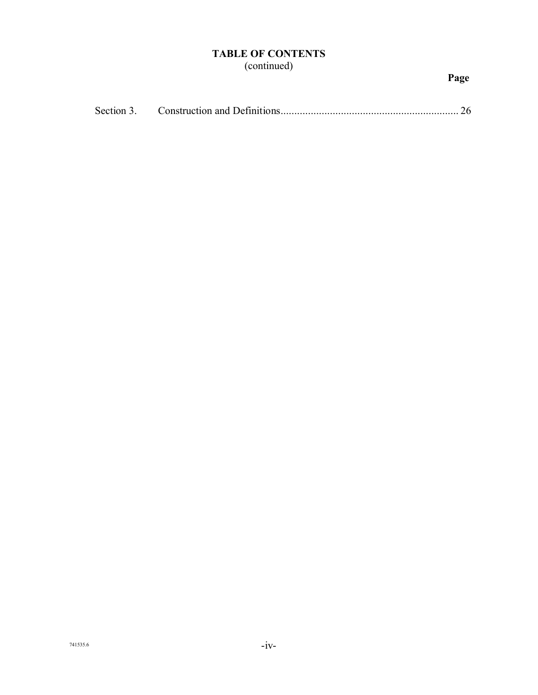## **TABLE OF CONTENTS** (continued)

| Section 3. |  |  |
|------------|--|--|
|------------|--|--|